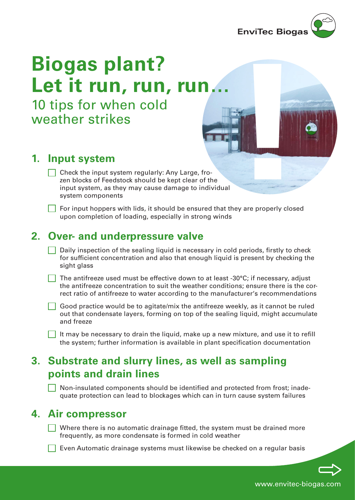

# **EnviTec Biogas<br>
<b>Biogas plant?**<br> **Let it run, run, run.**<br>
10 tips for when cold<br>
weather strikes<br>
<br> **1. Input system**<br>  $\frac{\text{Check of Feddstock should be kept clear of theinput system, as they may cause damage to individualsystem componentssystem components with lists, it should be ensured that they are properly closedupon completion of loading, especially in strong winds$ **Let it run, run, run…** 10 tips for when cold

weather strikes

# **1. Input system**

- $\Box$  Check the input system regularly: Any Large, frozen blocks of Feedstock should be kept clear of the input system, as they may cause damage to individual system components
	- For input hoppers with lids, it should be ensured that they are properly closed upon completion of loading, especially in strong winds

# **2. Over- and underpressure valve**

- $\Box$  Daily inspection of the sealing liquid is necessary in cold periods, firstly to check for sufficient concentration and also that enough liquid is present by checking the sight glass
	- The antifreeze used must be effective down to at least -30°C; if necessary, adjust the antifreeze concentration to suit the weather conditions; ensure there is the correct ratio of antifreeze to water according to the manufacturer's recommendations
	- Good practice would be to agitate/mix the antifreeze weekly, as it cannot be ruled out that condensate layers, forming on top of the sealing liquid, might accumulate and freeze
- It may be necessary to drain the liquid, make up a new mixture, and use it to refill the system; further information is available in plant specification documentation

# **3. Substrate and slurry lines, as well as sampling points and drain lines**

Non-insulated components should be identified and protected from frost; inadequate protection can lead to blockages which can in turn cause system failures

### **4. Air compressor**

- $\vert \vert$  Where there is no automatic drainage fitted, the system must be drained more frequently, as more condensate is formed in cold weather
	- Even Automatic drainage systems must likewise be checked on a regular basis

www.envitec-biogas.com